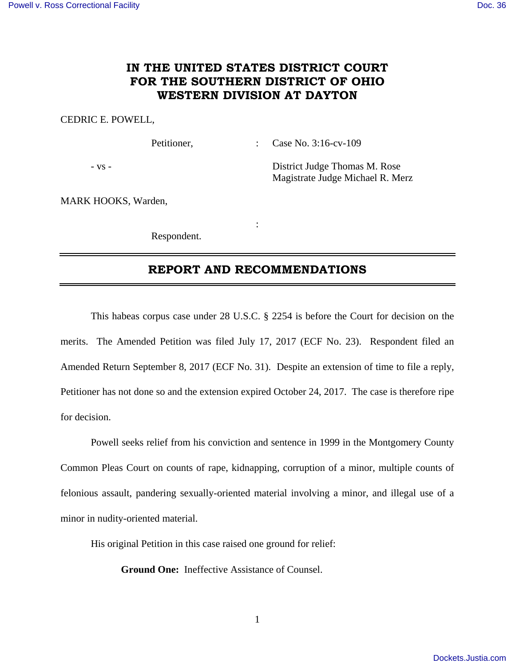# **IN THE UNITED STATES DISTRICT COURT FOR THE SOUTHERN DISTRICT OF OHIO WESTERN DIVISION AT DAYTON**

### CEDRIC E. POWELL,

Petitioner, : Case No. 3:16-cv-109

- vs - District Judge Thomas M. Rose Magistrate Judge Michael R. Merz

MARK HOOKS, Warden,

Respondent.

**Service State State State** 

# **REPORT AND RECOMMENDATIONS**

 This habeas corpus case under 28 U.S.C. § 2254 is before the Court for decision on the merits. The Amended Petition was filed July 17, 2017 (ECF No. 23). Respondent filed an Amended Return September 8, 2017 (ECF No. 31). Despite an extension of time to file a reply, Petitioner has not done so and the extension expired October 24, 2017. The case is therefore ripe for decision.

 Powell seeks relief from his conviction and sentence in 1999 in the Montgomery County Common Pleas Court on counts of rape, kidnapping, corruption of a minor, multiple counts of felonious assault, pandering sexually-oriented material involving a minor, and illegal use of a minor in nudity-oriented material.

His original Petition in this case raised one ground for relief:

**Ground One:** Ineffective Assistance of Counsel.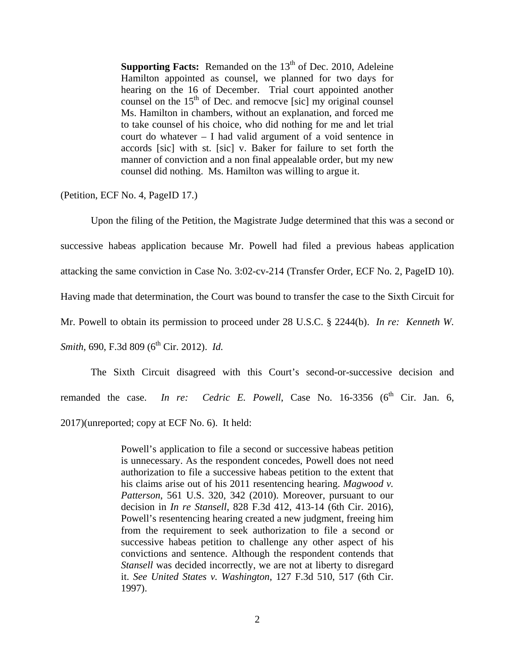**Supporting Facts:** Remanded on the 13<sup>th</sup> of Dec. 2010, Adeleine Hamilton appointed as counsel, we planned for two days for hearing on the 16 of December. Trial court appointed another counsel on the  $15<sup>th</sup>$  of Dec. and remocve [sic] my original counsel Ms. Hamilton in chambers, without an explanation, and forced me to take counsel of his choice, who did nothing for me and let trial court do whatever – I had valid argument of a void sentence in accords [sic] with st. [sic] v. Baker for failure to set forth the manner of conviction and a non final appealable order, but my new counsel did nothing. Ms. Hamilton was willing to argue it.

(Petition, ECF No. 4, PageID 17.)

 Upon the filing of the Petition, the Magistrate Judge determined that this was a second or successive habeas application because Mr. Powell had filed a previous habeas application attacking the same conviction in Case No. 3:02-cv-214 (Transfer Order, ECF No. 2, PageID 10). Having made that determination, the Court was bound to transfer the case to the Sixth Circuit for Mr. Powell to obtain its permission to proceed under 28 U.S.C. § 2244(b). *In re: Kenneth W. Smith*, 690, F.3d 809 (6<sup>th</sup> Cir. 2012). *Id.* 

 The Sixth Circuit disagreed with this Court's second-or-successive decision and remanded the case. *In re: Cedric E. Powell*, Case No.  $16-3356$  ( $6<sup>th</sup>$  Cir. Jan. 6, 2017)(unreported; copy at ECF No. 6). It held:

> Powell's application to file a second or successive habeas petition is unnecessary. As the respondent concedes, Powell does not need authorization to file a successive habeas petition to the extent that his claims arise out of his 2011 resentencing hearing. *Magwood v. Patterson*, 561 U.S. 320, 342 (2010). Moreover, pursuant to our decision in *In re Stansell*, 828 F.3d 412, 413-14 (6th Cir. 2016), Powell's resentencing hearing created a new judgment, freeing him from the requirement to seek authorization to file a second or successive habeas petition to challenge any other aspect of his convictions and sentence. Although the respondent contends that *Stansell* was decided incorrectly, we are not at liberty to disregard it. *See United States v. Washington*, 127 F.3d 510, 517 (6th Cir. 1997).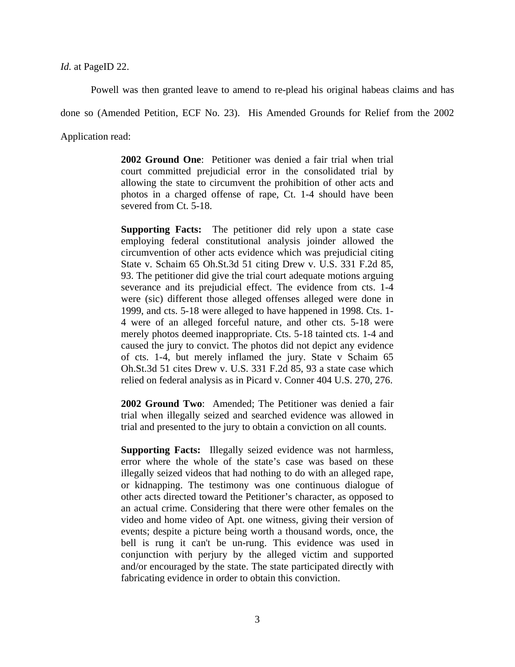*Id.* at PageID 22.

Powell was then granted leave to amend to re-plead his original habeas claims and has

done so (Amended Petition, ECF No. 23). His Amended Grounds for Relief from the 2002

Application read:

**2002 Ground One**: Petitioner was denied a fair trial when trial court committed prejudicial error in the consolidated trial by allowing the state to circumvent the prohibition of other acts and photos in a charged offense of rape, Ct. 1-4 should have been severed from Ct. 5-18.

**Supporting Facts:** The petitioner did rely upon a state case employing federal constitutional analysis joinder allowed the circumvention of other acts evidence which was prejudicial citing State v. Schaim 65 Oh.St.3d 51 citing Drew v. U.S. 331 F.2d 85, 93. The petitioner did give the trial court adequate motions arguing severance and its prejudicial effect. The evidence from cts. 1-4 were (sic) different those alleged offenses alleged were done in 1999, and cts. 5-18 were alleged to have happened in 1998. Cts. 1- 4 were of an alleged forceful nature, and other cts. 5-18 were merely photos deemed inappropriate. Cts. 5-18 tainted cts. 1-4 and caused the jury to convict. The photos did not depict any evidence of cts. 1-4, but merely inflamed the jury. State v Schaim 65 Oh.St.3d 51 cites Drew v. U.S. 331 F.2d 85, 93 a state case which relied on federal analysis as in Picard v. Conner 404 U.S. 270, 276.

**2002 Ground Two**: Amended; The Petitioner was denied a fair trial when illegally seized and searched evidence was allowed in trial and presented to the jury to obtain a conviction on all counts.

**Supporting Facts:** Illegally seized evidence was not harmless, error where the whole of the state's case was based on these illegally seized videos that had nothing to do with an alleged rape, or kidnapping. The testimony was one continuous dialogue of other acts directed toward the Petitioner's character, as opposed to an actual crime. Considering that there were other females on the video and home video of Apt. one witness, giving their version of events; despite a picture being worth a thousand words, once, the bell is rung it can't be un-rung. This evidence was used in conjunction with perjury by the alleged victim and supported and/or encouraged by the state. The state participated directly with fabricating evidence in order to obtain this conviction.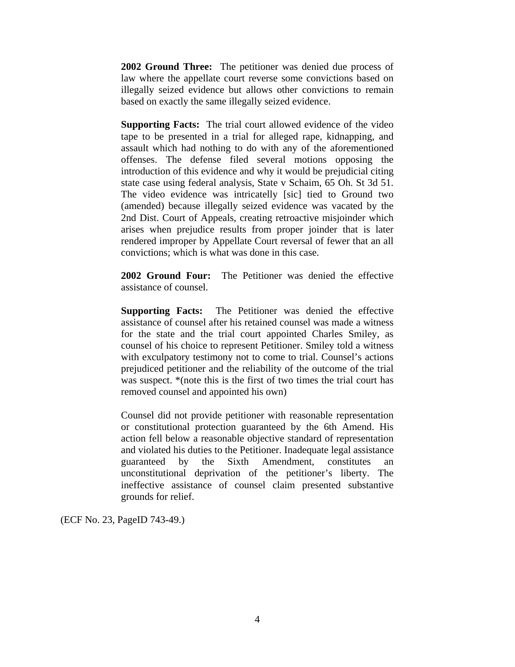**2002 Ground Three:** The petitioner was denied due process of law where the appellate court reverse some convictions based on illegally seized evidence but allows other convictions to remain based on exactly the same illegally seized evidence.

**Supporting Facts:** The trial court allowed evidence of the video tape to be presented in a trial for alleged rape, kidnapping, and assault which had nothing to do with any of the aforementioned offenses. The defense filed several motions opposing the introduction of this evidence and why it would be prejudicial citing state case using federal analysis, State v Schaim, 65 Oh. St 3d 51. The video evidence was intricatelly [sic] tied to Ground two (amended) because illegally seized evidence was vacated by the 2nd Dist. Court of Appeals, creating retroactive misjoinder which arises when prejudice results from proper joinder that is later rendered improper by Appellate Court reversal of fewer that an all convictions; which is what was done in this case.

**2002 Ground Four:** The Petitioner was denied the effective assistance of counsel.

**Supporting Facts:** The Petitioner was denied the effective assistance of counsel after his retained counsel was made a witness for the state and the trial court appointed Charles Smiley, as counsel of his choice to represent Petitioner. Smiley told a witness with exculpatory testimony not to come to trial. Counsel's actions prejudiced petitioner and the reliability of the outcome of the trial was suspect. \*(note this is the first of two times the trial court has removed counsel and appointed his own)

Counsel did not provide petitioner with reasonable representation or constitutional protection guaranteed by the 6th Amend. His action fell below a reasonable objective standard of representation and violated his duties to the Petitioner. Inadequate legal assistance guaranteed by the Sixth Amendment, constitutes an unconstitutional deprivation of the petitioner's liberty. The ineffective assistance of counsel claim presented substantive grounds for relief.

(ECF No. 23, PageID 743-49.)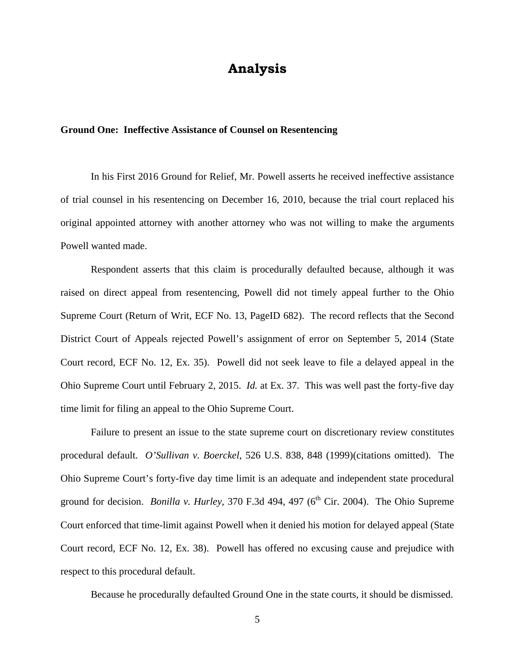# **Analysis**

## **Ground One: Ineffective Assistance of Counsel on Resentencing**

 In his First 2016 Ground for Relief, Mr. Powell asserts he received ineffective assistance of trial counsel in his resentencing on December 16, 2010, because the trial court replaced his original appointed attorney with another attorney who was not willing to make the arguments Powell wanted made.

 Respondent asserts that this claim is procedurally defaulted because, although it was raised on direct appeal from resentencing, Powell did not timely appeal further to the Ohio Supreme Court (Return of Writ, ECF No. 13, PageID 682). The record reflects that the Second District Court of Appeals rejected Powell's assignment of error on September 5, 2014 (State Court record, ECF No. 12, Ex. 35). Powell did not seek leave to file a delayed appeal in the Ohio Supreme Court until February 2, 2015. *Id.* at Ex. 37. This was well past the forty-five day time limit for filing an appeal to the Ohio Supreme Court.

 Failure to present an issue to the state supreme court on discretionary review constitutes procedural default. *O'Sullivan v. Boerckel*, 526 U.S. 838, 848 (1999)(citations omitted). The Ohio Supreme Court's forty-five day time limit is an adequate and independent state procedural ground for decision. *Bonilla v. Hurley*, 370 F.3d 494, 497 ( $6<sup>th</sup>$  Cir. 2004). The Ohio Supreme Court enforced that time-limit against Powell when it denied his motion for delayed appeal (State Court record, ECF No. 12, Ex. 38). Powell has offered no excusing cause and prejudice with respect to this procedural default.

Because he procedurally defaulted Ground One in the state courts, it should be dismissed.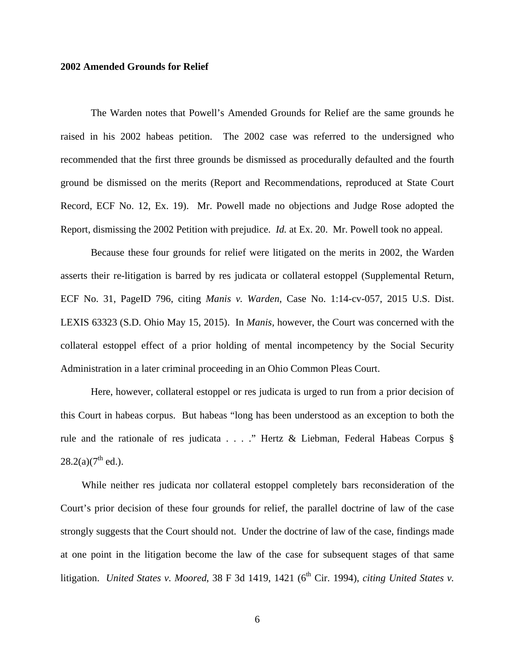### **2002 Amended Grounds for Relief**

 The Warden notes that Powell's Amended Grounds for Relief are the same grounds he raised in his 2002 habeas petition. The 2002 case was referred to the undersigned who recommended that the first three grounds be dismissed as procedurally defaulted and the fourth ground be dismissed on the merits (Report and Recommendations, reproduced at State Court Record, ECF No. 12, Ex. 19). Mr. Powell made no objections and Judge Rose adopted the Report, dismissing the 2002 Petition with prejudice. *Id.* at Ex. 20. Mr. Powell took no appeal.

 Because these four grounds for relief were litigated on the merits in 2002, the Warden asserts their re-litigation is barred by res judicata or collateral estoppel (Supplemental Return, ECF No. 31, PageID 796, citing *Manis v. Warden*, Case No. 1:14-cv-057, 2015 U.S. Dist. LEXIS 63323 (S.D. Ohio May 15, 2015). In *Manis,* however, the Court was concerned with the collateral estoppel effect of a prior holding of mental incompetency by the Social Security Administration in a later criminal proceeding in an Ohio Common Pleas Court.

Here, however, collateral estoppel or res judicata is urged to run from a prior decision of this Court in habeas corpus. But habeas "long has been understood as an exception to both the rule and the rationale of res judicata . . . ." Hertz & Liebman, Federal Habeas Corpus §  $28.2(a)(7<sup>th</sup>$  ed.).

 While neither res judicata nor collateral estoppel completely bars reconsideration of the Court's prior decision of these four grounds for relief, the parallel doctrine of law of the case strongly suggests that the Court should not. Under the doctrine of law of the case, findings made at one point in the litigation become the law of the case for subsequent stages of that same litigation. *United States v. Moored*, 38 F 3d 1419, 1421 (6<sup>th</sup> Cir. 1994), *citing United States v.*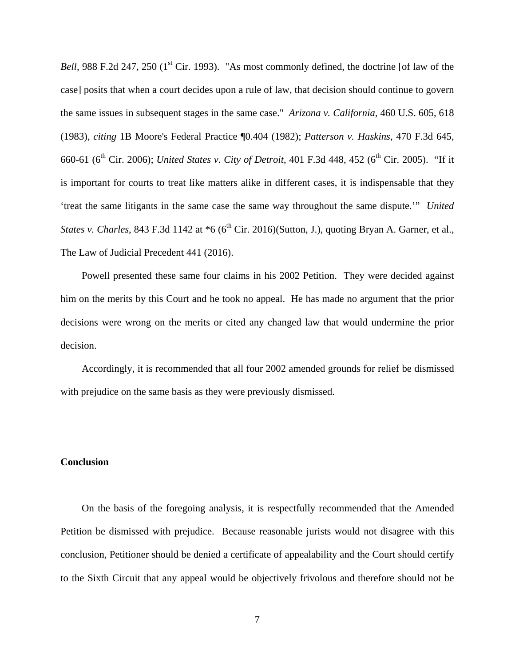*Bell*, 988 F.2d 247, 250 (1<sup>st</sup> Cir. 1993). "As most commonly defined, the doctrine [of law of the case] posits that when a court decides upon a rule of law, that decision should continue to govern the same issues in subsequent stages in the same case." *Arizona v. California*, 460 U.S. 605, 618 (1983), *citing* 1B Moore's Federal Practice ¶0.404 (1982); *Patterson v. Haskins*, 470 F.3d 645, 660-61 (6<sup>th</sup> Cir. 2006); *United States v. City of Detroit*, 401 F.3d 448, 452 (6<sup>th</sup> Cir. 2005). "If it is important for courts to treat like matters alike in different cases, it is indispensable that they 'treat the same litigants in the same case the same way throughout the same dispute.'" *United States v. Charles*, 843 F.3d 1142 at \*6 (6<sup>th</sup> Cir. 2016)(Sutton, J.), quoting Bryan A. Garner, et al., The Law of Judicial Precedent 441 (2016).

 Powell presented these same four claims in his 2002 Petition. They were decided against him on the merits by this Court and he took no appeal. He has made no argument that the prior decisions were wrong on the merits or cited any changed law that would undermine the prior decision.

 Accordingly, it is recommended that all four 2002 amended grounds for relief be dismissed with prejudice on the same basis as they were previously dismissed.

## **Conclusion**

 On the basis of the foregoing analysis, it is respectfully recommended that the Amended Petition be dismissed with prejudice. Because reasonable jurists would not disagree with this conclusion, Petitioner should be denied a certificate of appealability and the Court should certify to the Sixth Circuit that any appeal would be objectively frivolous and therefore should not be